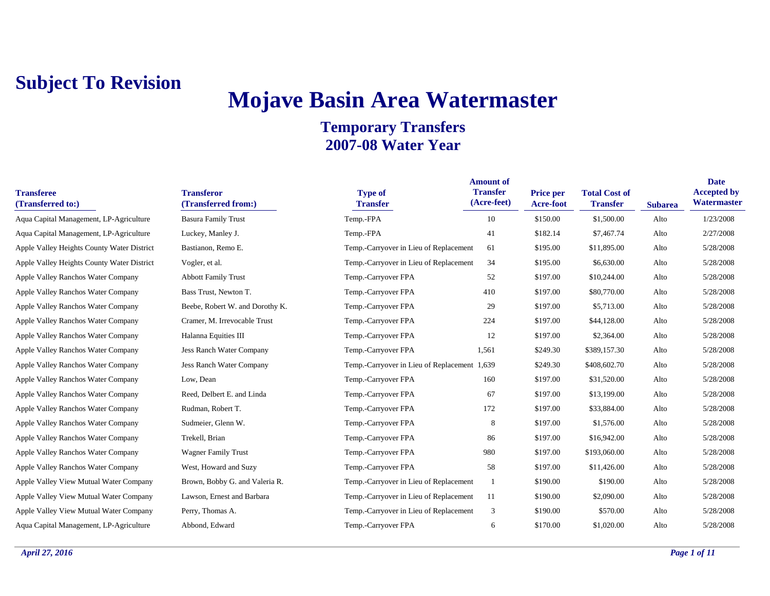### **Mojave Basin Area Watermaster**

#### **Temporary Transfers 2007-08 Water Year**

**Amount of** 

| <b>Transferee</b><br>(Transferred to:)     | <b>Transferor</b><br>(Transferred from:) | <b>Type of</b><br><b>Transfer</b>            | <b>Transfer</b><br>(Acre-feet) | <b>Price per</b><br>Acre-foot | <b>Total Cost of</b><br><b>Transfer</b> | <b>Subarea</b> | <b>Accepted b</b><br>Watermast |
|--------------------------------------------|------------------------------------------|----------------------------------------------|--------------------------------|-------------------------------|-----------------------------------------|----------------|--------------------------------|
| Aqua Capital Management, LP-Agriculture    | <b>Basura Family Trust</b>               | Temp.-FPA                                    | 10                             | \$150.00                      | \$1,500.00                              | Alto           | 1/23/2008                      |
| Aqua Capital Management, LP-Agriculture    | Luckey, Manley J.                        | Temp.-FPA                                    | 41                             | \$182.14                      | \$7,467.74                              | Alto           | 2/27/2008                      |
| Apple Valley Heights County Water District | Bastianon, Remo E.                       | Temp.-Carryover in Lieu of Replacement       | 61                             | \$195.00                      | \$11,895.00                             | Alto           | 5/28/2008                      |
| Apple Valley Heights County Water District | Vogler, et al.                           | Temp.-Carryover in Lieu of Replacement       | 34                             | \$195.00                      | \$6,630.00                              | Alto           | 5/28/2008                      |
| Apple Valley Ranchos Water Company         | <b>Abbott Family Trust</b>               | Temp.-Carryover FPA                          | 52                             | \$197.00                      | \$10,244.00                             | Alto           | 5/28/2008                      |
| Apple Valley Ranchos Water Company         | Bass Trust, Newton T.                    | Temp.-Carryover FPA                          | 410                            | \$197.00                      | \$80,770.00                             | Alto           | 5/28/2008                      |
| Apple Valley Ranchos Water Company         | Beebe, Robert W. and Dorothy K.          | Temp.-Carryover FPA                          | 29                             | \$197.00                      | \$5,713.00                              | Alto           | 5/28/2008                      |
| Apple Valley Ranchos Water Company         | Cramer, M. Irrevocable Trust             | Temp.-Carryover FPA                          | 224                            | \$197.00                      | \$44,128.00                             | Alto           | 5/28/2008                      |
| Apple Valley Ranchos Water Company         | Halanna Equities III                     | Temp.-Carryover FPA                          | 12                             | \$197.00                      | \$2,364.00                              | Alto           | 5/28/2008                      |
| Apple Valley Ranchos Water Company         | Jess Ranch Water Company                 | Temp.-Carryover FPA                          | 1,561                          | \$249.30                      | \$389,157.30                            | Alto           | 5/28/2008                      |
| Apple Valley Ranchos Water Company         | Jess Ranch Water Company                 | Temp.-Carryover in Lieu of Replacement 1,639 |                                | \$249.30                      | \$408,602.70                            | Alto           | 5/28/2008                      |
| Apple Valley Ranchos Water Company         | Low, Dean                                | Temp.-Carryover FPA                          | 160                            | \$197.00                      | \$31,520.00                             | Alto           | 5/28/2008                      |
| Apple Valley Ranchos Water Company         | Reed, Delbert E. and Linda               | Temp.-Carryover FPA                          | 67                             | \$197.00                      | \$13,199.00                             | Alto           | 5/28/2008                      |
| Apple Valley Ranchos Water Company         | Rudman, Robert T.                        | Temp.-Carryover FPA                          | 172                            | \$197.00                      | \$33,884.00                             | Alto           | 5/28/2008                      |
| Apple Valley Ranchos Water Company         | Sudmeier, Glenn W.                       | Temp.-Carryover FPA                          | 8                              | \$197.00                      | \$1,576.00                              | Alto           | 5/28/2008                      |
| Apple Valley Ranchos Water Company         | Trekell, Brian                           | Temp.-Carryover FPA                          | 86                             | \$197.00                      | \$16,942.00                             | Alto           | 5/28/2008                      |
| Apple Valley Ranchos Water Company         | <b>Wagner Family Trust</b>               | Temp.-Carryover FPA                          | 980                            | \$197.00                      | \$193,060.00                            | Alto           | 5/28/2008                      |
| Apple Valley Ranchos Water Company         | West, Howard and Suzy                    | Temp.-Carryover FPA                          | 58                             | \$197.00                      | \$11,426.00                             | Alto           | 5/28/2008                      |
| Apple Valley View Mutual Water Company     | Brown, Bobby G. and Valeria R.           | Temp.-Carryover in Lieu of Replacement       |                                | \$190.00                      | \$190.00                                | Alto           | 5/28/2008                      |
| Apple Valley View Mutual Water Company     | Lawson, Ernest and Barbara               | Temp.-Carryover in Lieu of Replacement       | 11                             | \$190.00                      | \$2,090.00                              | Alto           | 5/28/2008                      |
| Apple Valley View Mutual Water Company     | Perry, Thomas A.                         | Temp.-Carryover in Lieu of Replacement       | 3                              | \$190.00                      | \$570.00                                | Alto           | 5/28/2008                      |
| Aqua Capital Management, LP-Agriculture    | Abbond, Edward                           | Temp.-Carryover FPA                          | 6                              | \$170.00                      | \$1,020.00                              | Alto           | 5/28/2008                      |
|                                            |                                          |                                              |                                |                               |                                         |                |                                |

**Date Accepted by Watermaster**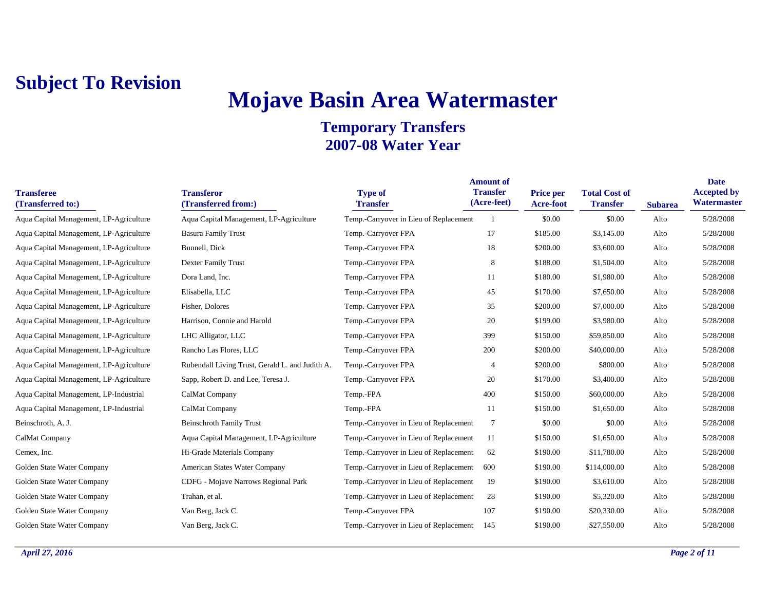# **Mojave Basin Area Watermaster**

| <b>Transferee</b><br>(Transferred to:)  | <b>Transferor</b><br>(Transferred from:)        | <b>Type of</b><br><b>Transfer</b>      | <b>Amount of</b><br><b>Transfer</b><br>(Acre-feet) | Price per<br><b>Acre-foot</b> | <b>Total Cost of</b><br><b>Transfer</b> | <b>Subarea</b> | <b>Date</b><br><b>Accepted by</b><br>Watermaster |
|-----------------------------------------|-------------------------------------------------|----------------------------------------|----------------------------------------------------|-------------------------------|-----------------------------------------|----------------|--------------------------------------------------|
| Aqua Capital Management, LP-Agriculture | Aqua Capital Management, LP-Agriculture         | Temp.-Carryover in Lieu of Replacement |                                                    | \$0.00                        | \$0.00                                  | Alto           | 5/28/2008                                        |
| Aqua Capital Management, LP-Agriculture | <b>Basura Family Trust</b>                      | Temp.-Carryover FPA                    | 17                                                 | \$185.00                      | \$3,145.00                              | Alto           | 5/28/2008                                        |
| Aqua Capital Management, LP-Agriculture | Bunnell, Dick                                   | Temp.-Carryover FPA                    | 18                                                 | \$200.00                      | \$3,600.00                              | Alto           | 5/28/2008                                        |
| Aqua Capital Management, LP-Agriculture | Dexter Family Trust                             | Temp.-Carryover FPA                    | 8                                                  | \$188.00                      | \$1,504.00                              | Alto           | 5/28/2008                                        |
| Aqua Capital Management, LP-Agriculture | Dora Land, Inc.                                 | Temp.-Carryover FPA                    | 11                                                 | \$180.00                      | \$1,980.00                              | Alto           | 5/28/2008                                        |
| Aqua Capital Management, LP-Agriculture | Elisabella, LLC                                 | Temp.-Carryover FPA                    | 45                                                 | \$170.00                      | \$7,650.00                              | Alto           | 5/28/2008                                        |
| Aqua Capital Management, LP-Agriculture | Fisher, Dolores                                 | Temp.-Carryover FPA                    | 35                                                 | \$200.00                      | \$7,000.00                              | Alto           | 5/28/2008                                        |
| Aqua Capital Management, LP-Agriculture | Harrison, Connie and Harold                     | Temp.-Carryover FPA                    | 20                                                 | \$199.00                      | \$3,980.00                              | Alto           | 5/28/2008                                        |
| Aqua Capital Management, LP-Agriculture | LHC Alligator, LLC                              | Temp.-Carryover FPA                    | 399                                                | \$150.00                      | \$59,850.00                             | Alto           | 5/28/2008                                        |
| Aqua Capital Management, LP-Agriculture | Rancho Las Flores, LLC                          | Temp.-Carryover FPA                    | 200                                                | \$200.00                      | \$40,000.00                             | Alto           | 5/28/2008                                        |
| Aqua Capital Management, LP-Agriculture | Rubendall Living Trust, Gerald L. and Judith A. | Temp.-Carryover FPA                    | $\overline{4}$                                     | \$200.00                      | \$800.00                                | Alto           | 5/28/2008                                        |
| Aqua Capital Management, LP-Agriculture | Sapp, Robert D. and Lee, Teresa J.              | Temp.-Carryover FPA                    | 20                                                 | \$170.00                      | \$3,400.00                              | Alto           | 5/28/2008                                        |
| Aqua Capital Management, LP-Industrial  | CalMat Company                                  | Temp.-FPA                              | 400                                                | \$150.00                      | \$60,000.00                             | Alto           | 5/28/2008                                        |
| Aqua Capital Management, LP-Industrial  | CalMat Company                                  | Temp.-FPA                              | 11                                                 | \$150.00                      | \$1,650.00                              | Alto           | 5/28/2008                                        |
| Beinschroth, A. J.                      | <b>Beinschroth Family Trust</b>                 | Temp.-Carryover in Lieu of Replacement | $\tau$                                             | \$0.00                        | \$0.00                                  | Alto           | 5/28/2008                                        |
| CalMat Company                          | Aqua Capital Management, LP-Agriculture         | Temp.-Carryover in Lieu of Replacement | 11                                                 | \$150.00                      | \$1,650.00                              | Alto           | 5/28/2008                                        |
| Cemex, Inc.                             | Hi-Grade Materials Company                      | Temp.-Carryover in Lieu of Replacement | 62                                                 | \$190.00                      | \$11,780.00                             | Alto           | 5/28/2008                                        |
| Golden State Water Company              | American States Water Company                   | Temp.-Carryover in Lieu of Replacement | 600                                                | \$190.00                      | \$114,000.00                            | Alto           | 5/28/2008                                        |
| Golden State Water Company              | CDFG - Mojave Narrows Regional Park             | Temp.-Carryover in Lieu of Replacement | 19                                                 | \$190.00                      | \$3,610.00                              | Alto           | 5/28/2008                                        |
| Golden State Water Company              | Trahan, et al.                                  | Temp.-Carryover in Lieu of Replacement | 28                                                 | \$190.00                      | \$5,320.00                              | Alto           | 5/28/2008                                        |
| Golden State Water Company              | Van Berg, Jack C.                               | Temp.-Carryover FPA                    | 107                                                | \$190.00                      | \$20,330.00                             | Alto           | 5/28/2008                                        |
| Golden State Water Company              | Van Berg, Jack C.                               | Temp.-Carryover in Lieu of Replacement | 145                                                | \$190.00                      | \$27,550.00                             | Alto           | 5/28/2008                                        |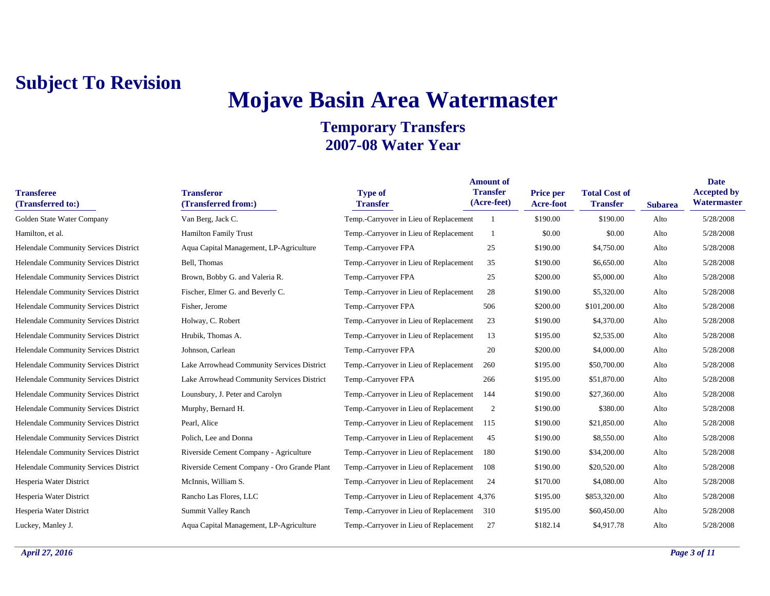# **Mojave Basin Area Watermaster**

| <b>Transferee</b><br>(Transferred to:) | <b>Transferor</b><br>(Transferred from:)    | <b>Type of</b><br><b>Transfer</b>            | <b>Amount of</b><br><b>Transfer</b><br>(Acre-feet) | Price per<br>Acre-foot | <b>Total Cost of</b><br><b>Transfer</b> | <b>Subarea</b> | <b>Date</b><br><b>Accepted by</b><br>Watermaster |
|----------------------------------------|---------------------------------------------|----------------------------------------------|----------------------------------------------------|------------------------|-----------------------------------------|----------------|--------------------------------------------------|
| Golden State Water Company             | Van Berg, Jack C.                           | Temp.-Carryover in Lieu of Replacement       |                                                    | \$190.00               | \$190.00                                | Alto           | 5/28/2008                                        |
| Hamilton, et al.                       | <b>Hamilton Family Trust</b>                | Temp.-Carryover in Lieu of Replacement       |                                                    | \$0.00                 | \$0.00                                  | Alto           | 5/28/2008                                        |
| Helendale Community Services District  | Aqua Capital Management, LP-Agriculture     | Temp.-Carryover FPA                          | 25                                                 | \$190.00               | \$4,750.00                              | Alto           | 5/28/2008                                        |
| Helendale Community Services District  | Bell, Thomas                                | Temp.-Carryover in Lieu of Replacement       | 35                                                 | \$190.00               | \$6,650.00                              | Alto           | 5/28/2008                                        |
| Helendale Community Services District  | Brown, Bobby G. and Valeria R.              | Temp.-Carryover FPA                          | 25                                                 | \$200.00               | \$5,000.00                              | Alto           | 5/28/2008                                        |
| Helendale Community Services District  | Fischer, Elmer G. and Beverly C.            | Temp.-Carryover in Lieu of Replacement       | 28                                                 | \$190.00               | \$5,320.00                              | Alto           | 5/28/2008                                        |
| Helendale Community Services District  | Fisher, Jerome                              | Temp.-Carryover FPA                          | 506                                                | \$200.00               | \$101,200.00                            | Alto           | 5/28/2008                                        |
| Helendale Community Services District  | Holway, C. Robert                           | Temp.-Carryover in Lieu of Replacement       | 23                                                 | \$190.00               | \$4,370.00                              | Alto           | 5/28/2008                                        |
| Helendale Community Services District  | Hrubik, Thomas A.                           | Temp.-Carryover in Lieu of Replacement       | 13                                                 | \$195.00               | \$2,535.00                              | Alto           | 5/28/2008                                        |
| Helendale Community Services District  | Johnson, Carlean                            | Temp.-Carryover FPA                          | 20                                                 | \$200.00               | \$4,000.00                              | Alto           | 5/28/2008                                        |
| Helendale Community Services District  | Lake Arrowhead Community Services District  | Temp.-Carryover in Lieu of Replacement       | 260                                                | \$195.00               | \$50,700.00                             | Alto           | 5/28/2008                                        |
| Helendale Community Services District  | Lake Arrowhead Community Services District  | Temp.-Carryover FPA                          | 266                                                | \$195.00               | \$51,870.00                             | Alto           | 5/28/2008                                        |
| Helendale Community Services District  | Lounsbury, J. Peter and Carolyn             | Temp.-Carryover in Lieu of Replacement       | 144                                                | \$190.00               | \$27,360.00                             | Alto           | 5/28/2008                                        |
| Helendale Community Services District  | Murphy, Bernard H.                          | Temp.-Carryover in Lieu of Replacement       | 2                                                  | \$190.00               | \$380.00                                | Alto           | 5/28/2008                                        |
| Helendale Community Services District  | Pearl, Alice                                | Temp.-Carryover in Lieu of Replacement       | 115                                                | \$190.00               | \$21,850.00                             | Alto           | 5/28/2008                                        |
| Helendale Community Services District  | Polich, Lee and Donna                       | Temp.-Carryover in Lieu of Replacement       | 45                                                 | \$190.00               | \$8,550.00                              | Alto           | 5/28/2008                                        |
| Helendale Community Services District  | Riverside Cement Company - Agriculture      | Temp.-Carryover in Lieu of Replacement       | 180                                                | \$190.00               | \$34,200.00                             | Alto           | 5/28/2008                                        |
| Helendale Community Services District  | Riverside Cement Company - Oro Grande Plant | Temp.-Carryover in Lieu of Replacement       | 108                                                | \$190.00               | \$20,520.00                             | Alto           | 5/28/2008                                        |
| Hesperia Water District                | McInnis, William S.                         | Temp.-Carryover in Lieu of Replacement       | 24                                                 | \$170.00               | \$4,080.00                              | Alto           | 5/28/2008                                        |
| Hesperia Water District                | Rancho Las Flores, LLC                      | Temp.-Carryover in Lieu of Replacement 4,376 |                                                    | \$195.00               | \$853,320.00                            | Alto           | 5/28/2008                                        |
| Hesperia Water District                | <b>Summit Valley Ranch</b>                  | Temp.-Carryover in Lieu of Replacement       | 310                                                | \$195.00               | \$60,450.00                             | Alto           | 5/28/2008                                        |
| Luckey, Manley J.                      | Aqua Capital Management, LP-Agriculture     | Temp.-Carryover in Lieu of Replacement       | 27                                                 | \$182.14               | \$4,917.78                              | Alto           | 5/28/2008                                        |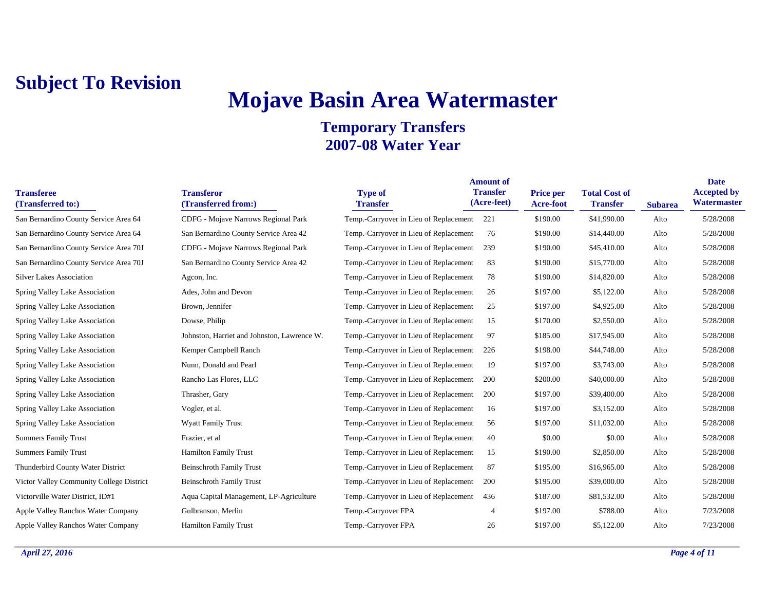# **Mojave Basin Area Watermaster**

| <b>Transferee</b><br>(Transferred to:)   | <b>Transferor</b><br>(Transferred from:)    | <b>Type of</b><br><b>Transfer</b>          | <b>Amount of</b><br><b>Transfer</b><br>(Acre-feet) | <b>Price per</b><br>Acre-foot | <b>Total Cost of</b><br><b>Transfer</b> | <b>Subarea</b> | <b>Date</b><br><b>Accepted by</b><br>Watermaster |
|------------------------------------------|---------------------------------------------|--------------------------------------------|----------------------------------------------------|-------------------------------|-----------------------------------------|----------------|--------------------------------------------------|
| San Bernardino County Service Area 64    | CDFG - Mojave Narrows Regional Park         | Temp.-Carryover in Lieu of Replacement 221 |                                                    | \$190.00                      | \$41,990.00                             | Alto           | 5/28/2008                                        |
| San Bernardino County Service Area 64    | San Bernardino County Service Area 42       | Temp.-Carryover in Lieu of Replacement     | 76                                                 | \$190.00                      | \$14,440.00                             | Alto           | 5/28/2008                                        |
| San Bernardino County Service Area 70J   | CDFG - Mojave Narrows Regional Park         | Temp.-Carryover in Lieu of Replacement     | 239                                                | \$190.00                      | \$45,410.00                             | Alto           | 5/28/2008                                        |
| San Bernardino County Service Area 70J   | San Bernardino County Service Area 42       | Temp.-Carryover in Lieu of Replacement     | 83                                                 | \$190.00                      | \$15,770.00                             | Alto           | 5/28/2008                                        |
| <b>Silver Lakes Association</b>          | Agcon, Inc.                                 | Temp.-Carryover in Lieu of Replacement     | 78                                                 | \$190.00                      | \$14,820.00                             | Alto           | 5/28/2008                                        |
| Spring Valley Lake Association           | Ades, John and Devon                        | Temp.-Carryover in Lieu of Replacement     | 26                                                 | \$197.00                      | \$5,122.00                              | Alto           | 5/28/2008                                        |
| Spring Valley Lake Association           | Brown, Jennifer                             | Temp.-Carryover in Lieu of Replacement     | 25                                                 | \$197.00                      | \$4,925.00                              | Alto           | 5/28/2008                                        |
| Spring Valley Lake Association           | Dowse, Philip                               | Temp.-Carryover in Lieu of Replacement     | 15                                                 | \$170.00                      | \$2,550.00                              | Alto           | 5/28/2008                                        |
| Spring Valley Lake Association           | Johnston, Harriet and Johnston, Lawrence W. | Temp.-Carryover in Lieu of Replacement     | 97                                                 | \$185.00                      | \$17,945.00                             | Alto           | 5/28/2008                                        |
| Spring Valley Lake Association           | Kemper Campbell Ranch                       | Temp.-Carryover in Lieu of Replacement     | 226                                                | \$198.00                      | \$44,748.00                             | Alto           | 5/28/2008                                        |
| Spring Valley Lake Association           | Nunn, Donald and Pearl                      | Temp.-Carryover in Lieu of Replacement     | 19                                                 | \$197.00                      | \$3,743.00                              | Alto           | 5/28/2008                                        |
| Spring Valley Lake Association           | Rancho Las Flores, LLC                      | Temp.-Carryover in Lieu of Replacement     | 200                                                | \$200.00                      | \$40,000.00                             | Alto           | 5/28/2008                                        |
| Spring Valley Lake Association           | Thrasher, Gary                              | Temp.-Carryover in Lieu of Replacement     | 200                                                | \$197.00                      | \$39,400.00                             | Alto           | 5/28/2008                                        |
| Spring Valley Lake Association           | Vogler, et al.                              | Temp.-Carryover in Lieu of Replacement     | 16                                                 | \$197.00                      | \$3,152.00                              | Alto           | 5/28/2008                                        |
| Spring Valley Lake Association           | <b>Wyatt Family Trust</b>                   | Temp.-Carryover in Lieu of Replacement     | 56                                                 | \$197.00                      | \$11,032.00                             | Alto           | 5/28/2008                                        |
| <b>Summers Family Trust</b>              | Frazier, et al                              | Temp.-Carryover in Lieu of Replacement     | 40                                                 | \$0.00                        | \$0.00                                  | Alto           | 5/28/2008                                        |
| <b>Summers Family Trust</b>              | <b>Hamilton Family Trust</b>                | Temp.-Carryover in Lieu of Replacement     | 15                                                 | \$190.00                      | \$2,850.00                              | Alto           | 5/28/2008                                        |
| Thunderbird County Water District        | <b>Beinschroth Family Trust</b>             | Temp.-Carryover in Lieu of Replacement     | 87                                                 | \$195.00                      | \$16,965.00                             | Alto           | 5/28/2008                                        |
| Victor Valley Community College District | <b>Beinschroth Family Trust</b>             | Temp.-Carryover in Lieu of Replacement     | 200                                                | \$195.00                      | \$39,000.00                             | Alto           | 5/28/2008                                        |
| Victorville Water District, ID#1         | Aqua Capital Management, LP-Agriculture     | Temp.-Carryover in Lieu of Replacement     | 436                                                | \$187.00                      | \$81,532.00                             | Alto           | 5/28/2008                                        |
| Apple Valley Ranchos Water Company       | Gulbranson, Merlin                          | Temp.-Carryover FPA                        | 4                                                  | \$197.00                      | \$788.00                                | Alto           | 7/23/2008                                        |
| Apple Valley Ranchos Water Company       | <b>Hamilton Family Trust</b>                | Temp.-Carryover FPA                        | 26                                                 | \$197.00                      | \$5,122.00                              | Alto           | 7/23/2008                                        |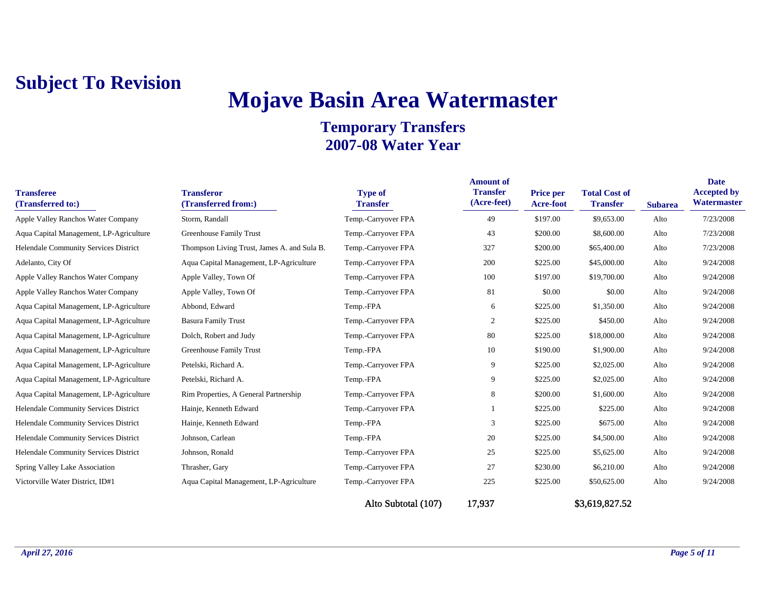# **Mojave Basin Area Watermaster**

| <b>Transferee</b><br>(Transferred to:)  | <b>Transferor</b><br>(Transferred from:)    | <b>Type of</b><br><b>Transfer</b> | <b>Amount of</b><br><b>Transfer</b><br>(Acre-feet) | Price per<br>Acre-foot | <b>Total Cost of</b><br><b>Transfer</b> | <b>Subarea</b> | <b>Date</b><br><b>Accepted by</b><br>Watermaster |
|-----------------------------------------|---------------------------------------------|-----------------------------------|----------------------------------------------------|------------------------|-----------------------------------------|----------------|--------------------------------------------------|
| Apple Valley Ranchos Water Company      | Storm, Randall                              | Temp.-Carryover FPA               | 49                                                 | \$197.00               | \$9,653.00                              | Alto           | 7/23/2008                                        |
| Aqua Capital Management, LP-Agriculture | Greenhouse Family Trust                     | Temp.-Carryover FPA               | 43                                                 | \$200.00               | \$8,600.00                              | Alto           | 7/23/2008                                        |
| Helendale Community Services District   | Thompson Living Trust, James A. and Sula B. | Temp.-Carryover FPA               | 327                                                | \$200.00               | \$65,400.00                             | Alto           | 7/23/2008                                        |
| Adelanto, City Of                       | Aqua Capital Management, LP-Agriculture     | Temp.-Carryover FPA               | 200                                                | \$225.00               | \$45,000.00                             | Alto           | 9/24/2008                                        |
| Apple Valley Ranchos Water Company      | Apple Valley, Town Of                       | Temp.-Carryover FPA               | 100                                                | \$197.00               | \$19,700.00                             | Alto           | 9/24/2008                                        |
| Apple Valley Ranchos Water Company      | Apple Valley, Town Of                       | Temp.-Carryover FPA               | 81                                                 | \$0.00                 | \$0.00                                  | Alto           | 9/24/2008                                        |
| Aqua Capital Management, LP-Agriculture | Abbond, Edward                              | Temp.-FPA                         | 6                                                  | \$225.00               | \$1,350.00                              | Alto           | 9/24/2008                                        |
| Aqua Capital Management, LP-Agriculture | <b>Basura Family Trust</b>                  | Temp.-Carryover FPA               | 2                                                  | \$225.00               | \$450.00                                | Alto           | 9/24/2008                                        |
| Aqua Capital Management, LP-Agriculture | Dolch, Robert and Judy                      | Temp.-Carryover FPA               | 80                                                 | \$225.00               | \$18,000.00                             | Alto           | 9/24/2008                                        |
| Aqua Capital Management, LP-Agriculture | Greenhouse Family Trust                     | Temp.-FPA                         | 10                                                 | \$190.00               | \$1,900.00                              | Alto           | 9/24/2008                                        |
| Aqua Capital Management, LP-Agriculture | Petelski, Richard A.                        | Temp.-Carryover FPA               | 9                                                  | \$225.00               | \$2,025.00                              | Alto           | 9/24/2008                                        |
| Aqua Capital Management, LP-Agriculture | Petelski, Richard A.                        | Temp.-FPA                         | 9                                                  | \$225.00               | \$2,025.00                              | Alto           | 9/24/2008                                        |
| Aqua Capital Management, LP-Agriculture | Rim Properties, A General Partnership       | Temp.-Carryover FPA               | 8                                                  | \$200.00               | \$1,600.00                              | Alto           | 9/24/2008                                        |
| Helendale Community Services District   | Hainje, Kenneth Edward                      | Temp.-Carryover FPA               |                                                    | \$225.00               | \$225.00                                | Alto           | 9/24/2008                                        |
| Helendale Community Services District   | Hainje, Kenneth Edward                      | Temp.-FPA                         | 3                                                  | \$225.00               | \$675.00                                | Alto           | 9/24/2008                                        |
| Helendale Community Services District   | Johnson, Carlean                            | Temp.-FPA                         | 20                                                 | \$225.00               | \$4,500.00                              | Alto           | 9/24/2008                                        |
| Helendale Community Services District   | Johnson, Ronald                             | Temp.-Carryover FPA               | 25                                                 | \$225.00               | \$5,625.00                              | Alto           | 9/24/2008                                        |
| Spring Valley Lake Association          | Thrasher, Gary                              | Temp.-Carryover FPA               | 27                                                 | \$230.00               | \$6,210.00                              | Alto           | 9/24/2008                                        |
| Victorville Water District, ID#1        | Aqua Capital Management, LP-Agriculture     | Temp.-Carryover FPA               | 225                                                | \$225.00               | \$50,625.00                             | Alto           | 9/24/2008                                        |
|                                         |                                             | Alto Subtotal (107)               | 17,937                                             |                        | \$3,619,827.52                          |                |                                                  |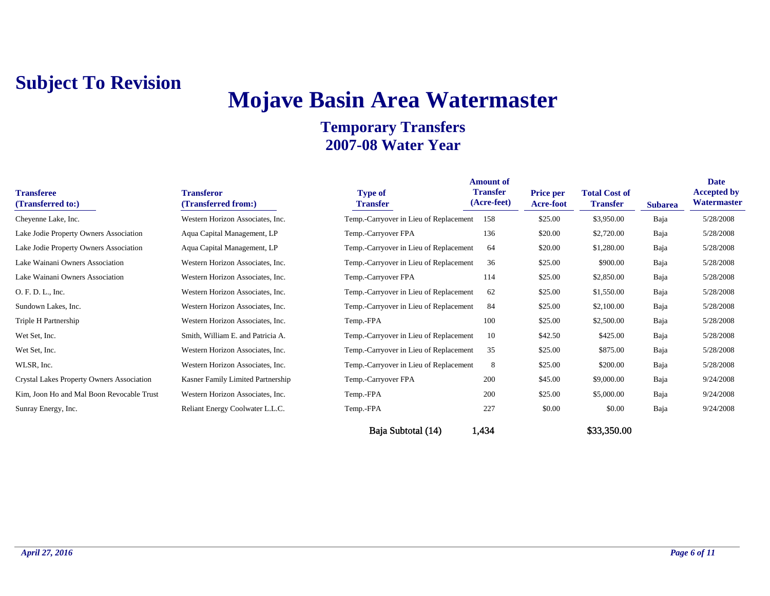# **Mojave Basin Area Watermaster**

| <b>Transferee</b><br>(Transferred to:)    | <b>Transferor</b><br>(Transferred from:) | <b>Type of</b><br><b>Transfer</b>      | <b>Amount of</b><br><b>Transfer</b><br>(Acre-feet) | <b>Price per</b><br><b>Acre-foot</b> | <b>Total Cost of</b><br><b>Transfer</b> | <b>Subarea</b> | <b>Date</b><br><b>Accepted by</b><br>Watermaster |
|-------------------------------------------|------------------------------------------|----------------------------------------|----------------------------------------------------|--------------------------------------|-----------------------------------------|----------------|--------------------------------------------------|
| Cheyenne Lake, Inc.                       | Western Horizon Associates, Inc.         | Temp.-Carryover in Lieu of Replacement | 158                                                | \$25.00                              | \$3,950.00                              | Baja           | 5/28/2008                                        |
| Lake Jodie Property Owners Association    | Aqua Capital Management, LP              | Temp.-Carryover FPA                    | 136                                                | \$20.00                              | \$2,720.00                              | Baja           | 5/28/2008                                        |
| Lake Jodie Property Owners Association    | Aqua Capital Management, LP              | Temp.-Carryover in Lieu of Replacement | 64                                                 | \$20.00                              | \$1,280.00                              | Baja           | 5/28/2008                                        |
| Lake Wainani Owners Association           | Western Horizon Associates, Inc.         | Temp.-Carryover in Lieu of Replacement | 36                                                 | \$25.00                              | \$900.00                                | Baja           | 5/28/2008                                        |
| Lake Wainani Owners Association           | Western Horizon Associates, Inc.         | Temp.-Carryover FPA                    | 114                                                | \$25.00                              | \$2,850.00                              | Baja           | 5/28/2008                                        |
| O. F. D. L., Inc.                         | Western Horizon Associates, Inc.         | Temp.-Carryover in Lieu of Replacement | 62                                                 | \$25.00                              | \$1,550.00                              | Baja           | 5/28/2008                                        |
| Sundown Lakes, Inc.                       | Western Horizon Associates, Inc.         | Temp.-Carryover in Lieu of Replacement | 84                                                 | \$25.00                              | \$2,100.00                              | Baja           | 5/28/2008                                        |
| Triple H Partnership                      | Western Horizon Associates, Inc.         | Temp.-FPA                              | 100                                                | \$25.00                              | \$2,500.00                              | Baja           | 5/28/2008                                        |
| Wet Set, Inc.                             | Smith, William E. and Patricia A.        | Temp.-Carryover in Lieu of Replacement | 10                                                 | \$42.50                              | \$425.00                                | Baja           | 5/28/2008                                        |
| Wet Set, Inc.                             | Western Horizon Associates, Inc.         | Temp.-Carryover in Lieu of Replacement | 35                                                 | \$25.00                              | \$875.00                                | Baja           | 5/28/2008                                        |
| WLSR, Inc.                                | Western Horizon Associates, Inc.         | Temp.-Carryover in Lieu of Replacement | 8                                                  | \$25.00                              | \$200.00                                | Baja           | 5/28/2008                                        |
| Crystal Lakes Property Owners Association | Kasner Family Limited Partnership        | Temp.-Carryover FPA                    | 200                                                | \$45.00                              | \$9,000.00                              | Baja           | 9/24/2008                                        |
| Kim, Joon Ho and Mal Boon Revocable Trust | Western Horizon Associates, Inc.         | Temp.-FPA                              | 200                                                | \$25.00                              | \$5,000.00                              | Baja           | 9/24/2008                                        |
| Sunray Energy, Inc.                       | Reliant Energy Coolwater L.L.C.          | Temp.-FPA                              | 227                                                | \$0.00                               | \$0.00                                  | Baja           | 9/24/2008                                        |
|                                           |                                          | Baja Subtotal (14)                     | 1,434                                              |                                      | \$33,350.00                             |                |                                                  |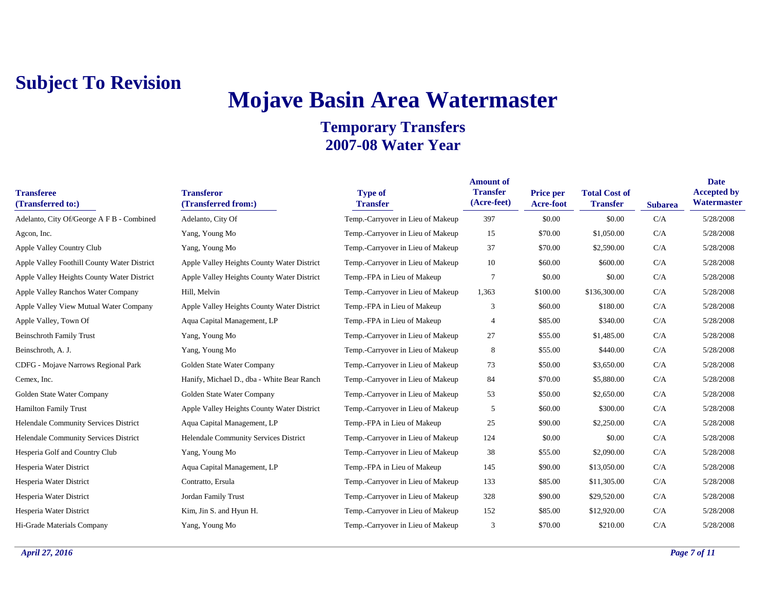# **Mojave Basin Area Watermaster**

| <b>Transferee</b><br>(Transferred to:)      | <b>Transferor</b><br>(Transferred from:)   | <b>Type of</b><br><b>Transfer</b> | <b>Amount of</b><br><b>Transfer</b><br>(Acre-feet) | <b>Price per</b><br>Acre-foot | <b>Total Cost of</b><br><b>Transfer</b> | <b>Subarea</b> | <b>Date</b><br><b>Accepted by</b><br>Watermaster |
|---------------------------------------------|--------------------------------------------|-----------------------------------|----------------------------------------------------|-------------------------------|-----------------------------------------|----------------|--------------------------------------------------|
| Adelanto, City Of/George A F B - Combined   | Adelanto, City Of                          | Temp.-Carryover in Lieu of Makeup | 397                                                | \$0.00                        | \$0.00                                  | C/A            | 5/28/2008                                        |
| Agcon, Inc.                                 | Yang, Young Mo                             | Temp.-Carryover in Lieu of Makeup | 15                                                 | \$70.00                       | \$1,050.00                              | C/A            | 5/28/2008                                        |
| Apple Valley Country Club                   | Yang, Young Mo                             | Temp.-Carryover in Lieu of Makeup | 37                                                 | \$70.00                       | \$2,590.00                              | C/A            | 5/28/2008                                        |
| Apple Valley Foothill County Water District | Apple Valley Heights County Water District | Temp.-Carryover in Lieu of Makeup | 10                                                 | \$60.00                       | \$600.00                                | C/A            | 5/28/2008                                        |
| Apple Valley Heights County Water District  | Apple Valley Heights County Water District | Temp.-FPA in Lieu of Makeup       | 7                                                  | \$0.00                        | \$0.00                                  | C/A            | 5/28/2008                                        |
| Apple Valley Ranchos Water Company          | Hill, Melvin                               | Temp.-Carryover in Lieu of Makeup | 1,363                                              | \$100.00                      | \$136,300.00                            | C/A            | 5/28/2008                                        |
| Apple Valley View Mutual Water Company      | Apple Valley Heights County Water District | Temp.-FPA in Lieu of Makeup       | 3                                                  | \$60.00                       | \$180.00                                | C/A            | 5/28/2008                                        |
| Apple Valley, Town Of                       | Aqua Capital Management, LP                | Temp.-FPA in Lieu of Makeup       | $\overline{4}$                                     | \$85.00                       | \$340.00                                | C/A            | 5/28/2008                                        |
| <b>Beinschroth Family Trust</b>             | Yang, Young Mo                             | Temp.-Carryover in Lieu of Makeup | 27                                                 | \$55.00                       | \$1,485.00                              | C/A            | 5/28/2008                                        |
| Beinschroth, A. J.                          | Yang, Young Mo                             | Temp.-Carryover in Lieu of Makeup | 8                                                  | \$55.00                       | \$440.00                                | C/A            | 5/28/2008                                        |
| CDFG - Mojave Narrows Regional Park         | Golden State Water Company                 | Temp.-Carryover in Lieu of Makeup | 73                                                 | \$50.00                       | \$3,650.00                              | C/A            | 5/28/2008                                        |
| Cemex, Inc.                                 | Hanify, Michael D., dba - White Bear Ranch | Temp.-Carryover in Lieu of Makeup | 84                                                 | \$70.00                       | \$5,880.00                              | C/A            | 5/28/2008                                        |
| Golden State Water Company                  | Golden State Water Company                 | Temp.-Carryover in Lieu of Makeup | 53                                                 | \$50.00                       | \$2,650.00                              | C/A            | 5/28/2008                                        |
| <b>Hamilton Family Trust</b>                | Apple Valley Heights County Water District | Temp.-Carryover in Lieu of Makeup | 5                                                  | \$60.00                       | \$300.00                                | C/A            | 5/28/2008                                        |
| Helendale Community Services District       | Aqua Capital Management, LP                | Temp.-FPA in Lieu of Makeup       | 25                                                 | \$90.00                       | \$2,250.00                              | C/A            | 5/28/2008                                        |
| Helendale Community Services District       | Helendale Community Services District      | Temp.-Carryover in Lieu of Makeup | 124                                                | \$0.00                        | \$0.00                                  | C/A            | 5/28/2008                                        |
| Hesperia Golf and Country Club              | Yang, Young Mo                             | Temp.-Carryover in Lieu of Makeup | 38                                                 | \$55.00                       | \$2,090.00                              | C/A            | 5/28/2008                                        |
| Hesperia Water District                     | Aqua Capital Management, LP                | Temp.-FPA in Lieu of Makeup       | 145                                                | \$90.00                       | \$13,050.00                             | C/A            | 5/28/2008                                        |
| Hesperia Water District                     | Contratto, Ersula                          | Temp.-Carryover in Lieu of Makeup | 133                                                | \$85.00                       | \$11,305.00                             | C/A            | 5/28/2008                                        |
| Hesperia Water District                     | Jordan Family Trust                        | Temp.-Carryover in Lieu of Makeup | 328                                                | \$90.00                       | \$29,520.00                             | C/A            | 5/28/2008                                        |
| Hesperia Water District                     | Kim, Jin S. and Hyun H.                    | Temp.-Carryover in Lieu of Makeup | 152                                                | \$85.00                       | \$12,920.00                             | C/A            | 5/28/2008                                        |
| Hi-Grade Materials Company                  | Yang, Young Mo                             | Temp.-Carryover in Lieu of Makeup | 3                                                  | \$70.00                       | \$210.00                                | C/A            | 5/28/2008                                        |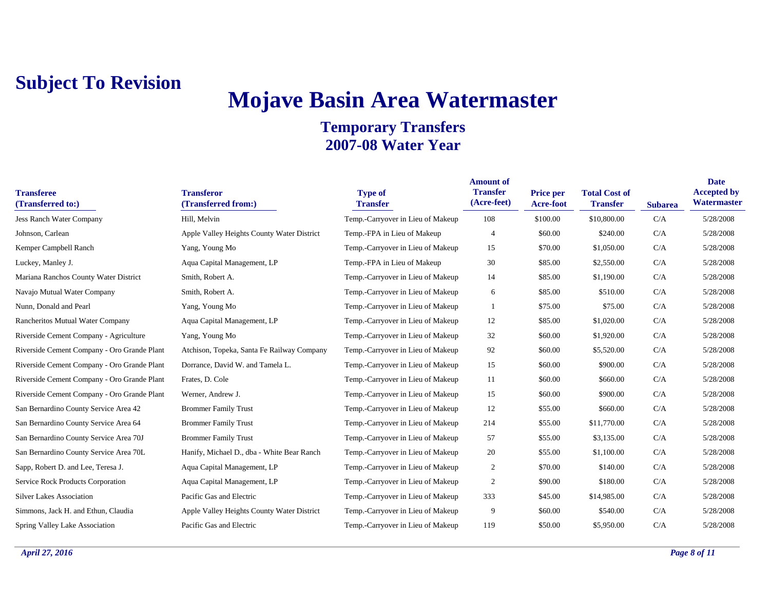# **Mojave Basin Area Watermaster**

| <b>Transferee</b><br>(Transferred to:)      | <b>Transferor</b><br>(Transferred from:)   | <b>Type of</b><br><b>Transfer</b> | <b>Amount of</b><br><b>Transfer</b><br>(Acre-feet) | <b>Price per</b><br><b>Acre-foot</b> | <b>Total Cost of</b><br><b>Transfer</b> | <b>Subarea</b> | <b>Date</b><br><b>Accepted by</b><br>Watermaster |
|---------------------------------------------|--------------------------------------------|-----------------------------------|----------------------------------------------------|--------------------------------------|-----------------------------------------|----------------|--------------------------------------------------|
| <b>Jess Ranch Water Company</b>             | Hill, Melvin                               | Temp.-Carryover in Lieu of Makeup | 108                                                | \$100.00                             | \$10,800.00                             | C/A            | 5/28/2008                                        |
| Johnson, Carlean                            | Apple Valley Heights County Water District | Temp.-FPA in Lieu of Makeup       | 4                                                  | \$60.00                              | \$240.00                                | C/A            | 5/28/2008                                        |
| Kemper Campbell Ranch                       | Yang, Young Mo                             | Temp.-Carryover in Lieu of Makeup | 15                                                 | \$70.00                              | \$1,050.00                              | C/A            | 5/28/2008                                        |
| Luckey, Manley J.                           | Aqua Capital Management, LP                | Temp.-FPA in Lieu of Makeup       | 30                                                 | \$85.00                              | \$2,550.00                              | C/A            | 5/28/2008                                        |
| Mariana Ranchos County Water District       | Smith, Robert A.                           | Temp.-Carryover in Lieu of Makeup | 14                                                 | \$85.00                              | \$1,190.00                              | C/A            | 5/28/2008                                        |
| Navajo Mutual Water Company                 | Smith, Robert A.                           | Temp.-Carryover in Lieu of Makeup | 6                                                  | \$85.00                              | \$510.00                                | C/A            | 5/28/2008                                        |
| Nunn, Donald and Pearl                      | Yang, Young Mo                             | Temp.-Carryover in Lieu of Makeup |                                                    | \$75.00                              | \$75.00                                 | C/A            | 5/28/2008                                        |
| Rancheritos Mutual Water Company            | Aqua Capital Management, LP                | Temp.-Carryover in Lieu of Makeup | 12                                                 | \$85.00                              | \$1,020.00                              | C/A            | 5/28/2008                                        |
| Riverside Cement Company - Agriculture      | Yang, Young Mo                             | Temp.-Carryover in Lieu of Makeup | 32                                                 | \$60.00                              | \$1,920.00                              | C/A            | 5/28/2008                                        |
| Riverside Cement Company - Oro Grande Plant | Atchison, Topeka, Santa Fe Railway Company | Temp.-Carryover in Lieu of Makeup | 92                                                 | \$60.00                              | \$5,520.00                              | C/A            | 5/28/2008                                        |
| Riverside Cement Company - Oro Grande Plant | Dorrance, David W. and Tamela L.           | Temp.-Carryover in Lieu of Makeup | 15                                                 | \$60.00                              | \$900.00                                | C/A            | 5/28/2008                                        |
| Riverside Cement Company - Oro Grande Plant | Frates, D. Cole                            | Temp.-Carryover in Lieu of Makeup | 11                                                 | \$60.00                              | \$660.00                                | C/A            | 5/28/2008                                        |
| Riverside Cement Company - Oro Grande Plant | Werner, Andrew J.                          | Temp.-Carryover in Lieu of Makeup | 15                                                 | \$60.00                              | \$900.00                                | C/A            | 5/28/2008                                        |
| San Bernardino County Service Area 42       | <b>Brommer Family Trust</b>                | Temp.-Carryover in Lieu of Makeup | 12                                                 | \$55.00                              | \$660.00                                | C/A            | 5/28/2008                                        |
| San Bernardino County Service Area 64       | <b>Brommer Family Trust</b>                | Temp.-Carryover in Lieu of Makeup | 214                                                | \$55.00                              | \$11,770.00                             | C/A            | 5/28/2008                                        |
| San Bernardino County Service Area 70J      | <b>Brommer Family Trust</b>                | Temp.-Carryover in Lieu of Makeup | 57                                                 | \$55.00                              | \$3,135.00                              | C/A            | 5/28/2008                                        |
| San Bernardino County Service Area 70L      | Hanify, Michael D., dba - White Bear Ranch | Temp.-Carryover in Lieu of Makeup | 20                                                 | \$55.00                              | \$1,100.00                              | C/A            | 5/28/2008                                        |
| Sapp, Robert D. and Lee, Teresa J.          | Aqua Capital Management, LP                | Temp.-Carryover in Lieu of Makeup | $\overline{c}$                                     | \$70.00                              | \$140.00                                | C/A            | 5/28/2008                                        |
| <b>Service Rock Products Corporation</b>    | Aqua Capital Management, LP                | Temp.-Carryover in Lieu of Makeup | $\overline{2}$                                     | \$90.00                              | \$180.00                                | C/A            | 5/28/2008                                        |
| <b>Silver Lakes Association</b>             | Pacific Gas and Electric                   | Temp.-Carryover in Lieu of Makeup | 333                                                | \$45.00                              | \$14,985.00                             | C/A            | 5/28/2008                                        |
| Simmons, Jack H. and Ethun, Claudia         | Apple Valley Heights County Water District | Temp.-Carryover in Lieu of Makeup | 9                                                  | \$60.00                              | \$540.00                                | C/A            | 5/28/2008                                        |
| Spring Valley Lake Association              | Pacific Gas and Electric                   | Temp.-Carryover in Lieu of Makeup | 119                                                | \$50.00                              | \$5,950.00                              | C/A            | 5/28/2008                                        |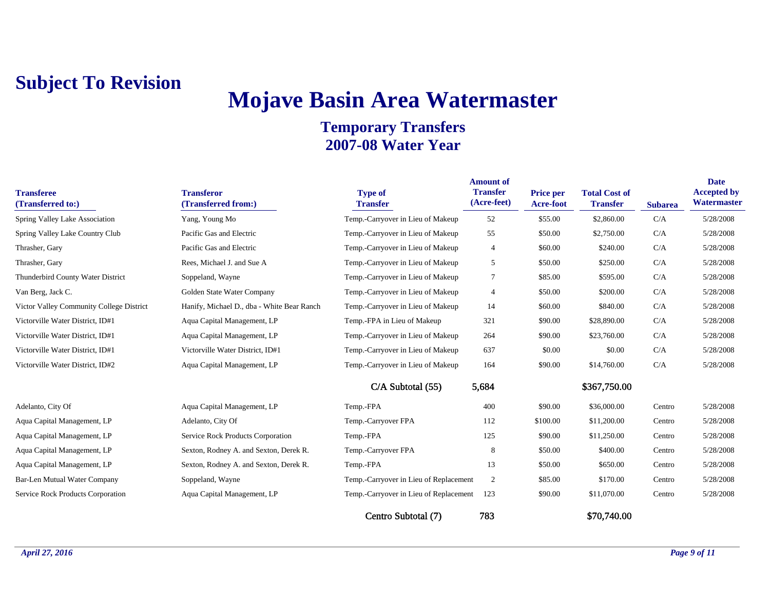# **Mojave Basin Area Watermaster**

| <b>Transferee</b><br>(Transferred to:)   | <b>Transferor</b><br>(Transferred from:)   | <b>Type of</b><br><b>Transfer</b>      | <b>Amount of</b><br><b>Transfer</b><br>(Acre-feet) | Price per<br><b>Acre-foot</b> | <b>Total Cost of</b><br><b>Transfer</b> | <b>Subarea</b> | <b>Date</b><br><b>Accepted by</b><br>Watermaster |
|------------------------------------------|--------------------------------------------|----------------------------------------|----------------------------------------------------|-------------------------------|-----------------------------------------|----------------|--------------------------------------------------|
| Spring Valley Lake Association           | Yang, Young Mo                             | Temp.-Carryover in Lieu of Makeup      | 52                                                 | \$55.00                       | \$2,860.00                              | C/A            | 5/28/2008                                        |
| Spring Valley Lake Country Club          | Pacific Gas and Electric                   | Temp.-Carryover in Lieu of Makeup      | 55                                                 | \$50.00                       | \$2,750.00                              | C/A            | 5/28/2008                                        |
| Thrasher, Gary                           | Pacific Gas and Electric                   | Temp.-Carryover in Lieu of Makeup      | $\overline{4}$                                     | \$60.00                       | \$240.00                                | C/A            | 5/28/2008                                        |
| Thrasher, Gary                           | Rees, Michael J. and Sue A                 | Temp.-Carryover in Lieu of Makeup      | 5                                                  | \$50.00                       | \$250.00                                | C/A            | 5/28/2008                                        |
| Thunderbird County Water District        | Soppeland, Wayne                           | Temp.-Carryover in Lieu of Makeup      | 7                                                  | \$85.00                       | \$595.00                                | C/A            | 5/28/2008                                        |
| Van Berg, Jack C.                        | Golden State Water Company                 | Temp.-Carryover in Lieu of Makeup      | $\overline{4}$                                     | \$50.00                       | \$200.00                                | C/A            | 5/28/2008                                        |
| Victor Valley Community College District | Hanify, Michael D., dba - White Bear Ranch | Temp.-Carryover in Lieu of Makeup      | 14                                                 | \$60.00                       | \$840.00                                | C/A            | 5/28/2008                                        |
| Victorville Water District, ID#1         | Aqua Capital Management, LP                | Temp.-FPA in Lieu of Makeup            | 321                                                | \$90.00                       | \$28,890.00                             | C/A            | 5/28/2008                                        |
| Victorville Water District, ID#1         | Aqua Capital Management, LP                | Temp.-Carryover in Lieu of Makeup      | 264                                                | \$90.00                       | \$23,760.00                             | C/A            | 5/28/2008                                        |
| Victorville Water District, ID#1         | Victorville Water District, ID#1           | Temp.-Carryover in Lieu of Makeup      | 637                                                | \$0.00                        | \$0.00                                  | C/A            | 5/28/2008                                        |
| Victorville Water District, ID#2         | Aqua Capital Management, LP                | Temp.-Carryover in Lieu of Makeup      | 164                                                | \$90.00                       | \$14,760.00                             | C/A            | 5/28/2008                                        |
|                                          |                                            | $C/A$ Subtotal $(55)$                  | 5,684                                              |                               | \$367,750.00                            |                |                                                  |
| Adelanto, City Of                        | Aqua Capital Management, LP                | Temp.-FPA                              | 400                                                | \$90.00                       | \$36,000.00                             | Centro         | 5/28/2008                                        |
| Aqua Capital Management, LP              | Adelanto, City Of                          | Temp.-Carryover FPA                    | 112                                                | \$100.00                      | \$11,200.00                             | Centro         | 5/28/2008                                        |
| Aqua Capital Management, LP              | Service Rock Products Corporation          | Temp.-FPA                              | 125                                                | \$90.00                       | \$11,250.00                             | Centro         | 5/28/2008                                        |
| Aqua Capital Management, LP              | Sexton, Rodney A. and Sexton, Derek R.     | Temp.-Carryover FPA                    | 8                                                  | \$50.00                       | \$400.00                                | Centro         | 5/28/2008                                        |
| Aqua Capital Management, LP              | Sexton, Rodney A. and Sexton, Derek R.     | Temp.-FPA                              | 13                                                 | \$50.00                       | \$650.00                                | Centro         | 5/28/2008                                        |
| Bar-Len Mutual Water Company             | Soppeland, Wayne                           | Temp.-Carryover in Lieu of Replacement | 2                                                  | \$85.00                       | \$170.00                                | Centro         | 5/28/2008                                        |
| Service Rock Products Corporation        | Aqua Capital Management, LP                | Temp.-Carryover in Lieu of Replacement | 123                                                | \$90.00                       | \$11,070.00                             | Centro         | 5/28/2008                                        |
|                                          |                                            | Centro Subtotal (7)                    | 783                                                |                               | \$70,740.00                             |                |                                                  |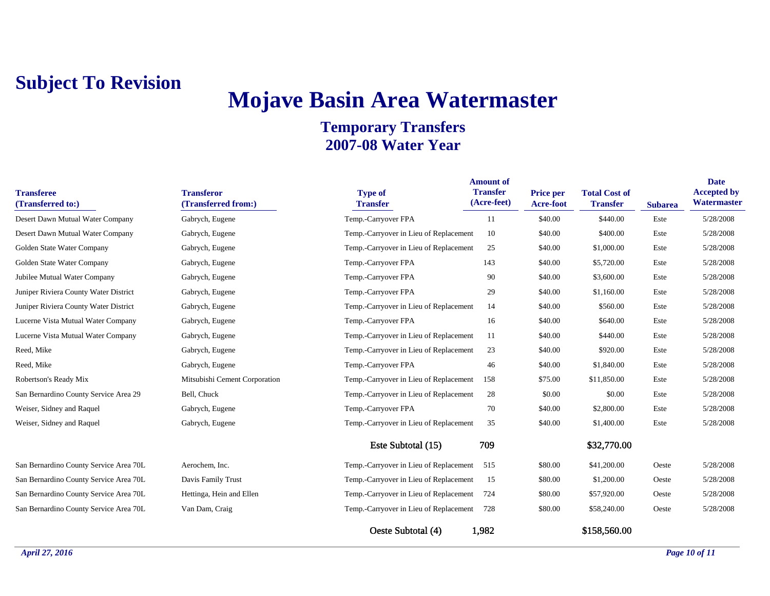## **Mojave Basin Area Watermaster**

| <b>Transferee</b><br>(Transferred to:) | <b>Transferor</b><br>(Transferred from:) | <b>Type of</b><br><b>Transfer</b>          | <b>Amount of</b><br><b>Transfer</b><br>(Acre-feet) | Price per<br>Acre-foot | <b>Total Cost of</b><br><b>Transfer</b> | <b>Subarea</b> | <b>Date</b><br><b>Accepted by</b><br>Watermaster |
|----------------------------------------|------------------------------------------|--------------------------------------------|----------------------------------------------------|------------------------|-----------------------------------------|----------------|--------------------------------------------------|
| Desert Dawn Mutual Water Company       | Gabrych, Eugene                          | Temp.-Carryover FPA                        | 11                                                 | \$40.00                | \$440.00                                | Este           | 5/28/2008                                        |
| Desert Dawn Mutual Water Company       | Gabrych, Eugene                          | Temp.-Carryover in Lieu of Replacement     | 10                                                 | \$40.00                | \$400.00                                | Este           | 5/28/2008                                        |
| Golden State Water Company             | Gabrych, Eugene                          | Temp.-Carryover in Lieu of Replacement     | 25                                                 | \$40.00                | \$1,000.00                              | Este           | 5/28/2008                                        |
| Golden State Water Company             | Gabrych, Eugene                          | Temp.-Carryover FPA                        | 143                                                | \$40.00                | \$5,720.00                              | Este           | 5/28/2008                                        |
| Jubilee Mutual Water Company           | Gabrych, Eugene                          | Temp.-Carryover FPA                        | 90                                                 | \$40.00                | \$3,600.00                              | Este           | 5/28/2008                                        |
| Juniper Riviera County Water District  | Gabrych, Eugene                          | Temp.-Carryover FPA                        | 29                                                 | \$40.00                | \$1,160.00                              | Este           | 5/28/2008                                        |
| Juniper Riviera County Water District  | Gabrych, Eugene                          | Temp.-Carryover in Lieu of Replacement     | 14                                                 | \$40.00                | \$560.00                                | Este           | 5/28/2008                                        |
| Lucerne Vista Mutual Water Company     | Gabrych, Eugene                          | Temp.-Carryover FPA                        | 16                                                 | \$40.00                | \$640.00                                | Este           | 5/28/2008                                        |
| Lucerne Vista Mutual Water Company     | Gabrych, Eugene                          | Temp.-Carryover in Lieu of Replacement     | 11                                                 | \$40.00                | \$440.00                                | Este           | 5/28/2008                                        |
| Reed, Mike                             | Gabrych, Eugene                          | Temp.-Carryover in Lieu of Replacement     | 23                                                 | \$40.00                | \$920.00                                | Este           | 5/28/2008                                        |
| Reed, Mike                             | Gabrych, Eugene                          | Temp.-Carryover FPA                        | 46                                                 | \$40.00                | \$1,840.00                              | Este           | 5/28/2008                                        |
| Robertson's Ready Mix                  | Mitsubishi Cement Corporation            | Temp.-Carryover in Lieu of Replacement     | 158                                                | \$75.00                | \$11,850.00                             | Este           | 5/28/2008                                        |
| San Bernardino County Service Area 29  | Bell, Chuck                              | Temp.-Carryover in Lieu of Replacement     | 28                                                 | \$0.00                 | \$0.00                                  | Este           | 5/28/2008                                        |
| Weiser, Sidney and Raquel              | Gabrych, Eugene                          | Temp.-Carryover FPA                        | 70                                                 | \$40.00                | \$2,800.00                              | Este           | 5/28/2008                                        |
| Weiser, Sidney and Raquel              | Gabrych, Eugene                          | Temp.-Carryover in Lieu of Replacement     | 35                                                 | \$40.00                | \$1,400.00                              | Este           | 5/28/2008                                        |
|                                        |                                          | Este Subtotal (15)                         | 709                                                |                        | \$32,770.00                             |                |                                                  |
| San Bernardino County Service Area 70L | Aerochem, Inc.                           | Temp.-Carryover in Lieu of Replacement 515 |                                                    | \$80.00                | \$41,200.00                             | Oeste          | 5/28/2008                                        |
| San Bernardino County Service Area 70L | Davis Family Trust                       | Temp.-Carryover in Lieu of Replacement     | 15                                                 | \$80.00                | \$1,200.00                              | Oeste          | 5/28/2008                                        |
| San Bernardino County Service Area 70L | Hettinga, Hein and Ellen                 | Temp.-Carryover in Lieu of Replacement     | 724                                                | \$80.00                | \$57,920.00                             | Oeste          | 5/28/2008                                        |
| San Bernardino County Service Area 70L | Van Dam, Craig                           | Temp.-Carryover in Lieu of Replacement     | 728                                                | \$80.00                | \$58,240.00                             | Oeste          | 5/28/2008                                        |
|                                        |                                          | Oeste Subtotal (4)                         | 1,982                                              |                        | \$158,560.00                            |                |                                                  |